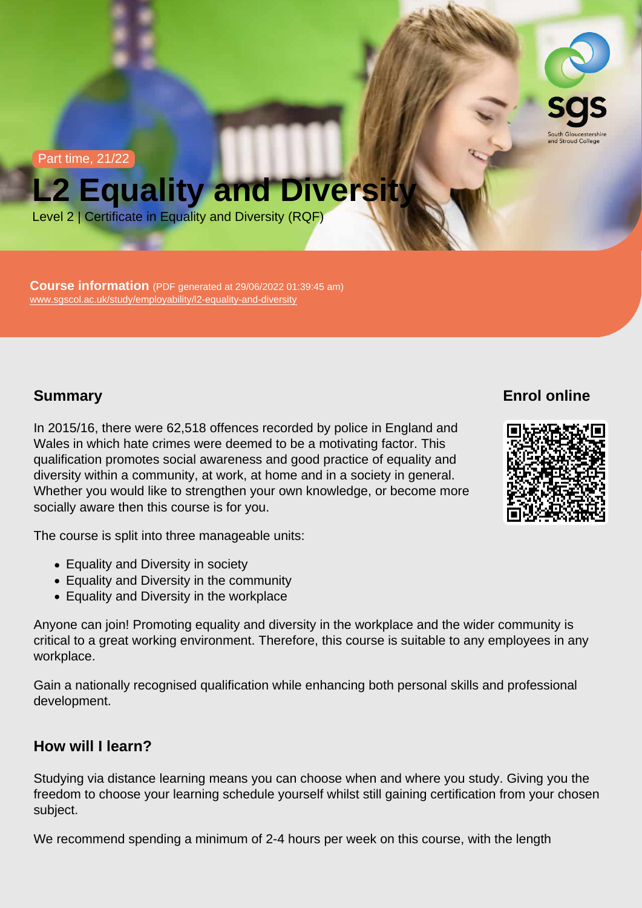Part time, 21/22

# L2 Equality and Diversity

Level 2 | Certificate in Equality and Diversity (RQF)

Course information (PDF generated at 29/06/2022 01:39:45 am) [www.sgscol.ac.uk/study/employability/l2-equality-and-diversity](https://www.sgscol.ac.uk/study/employability/l2-equality-and-diversity)

# **Summary**

In 2015/16, there were 62,518 offences recorded by police in England and Wales in which hate crimes were deemed to be a motivating factor. This qualification promotes social awareness and good practice of equality and diversity within a community, at work, at home and in a society in general. Whether you would like to strengthen your own knowledge, or become more socially aware then this course is for you.

The course is split into three manageable units:

- Equality and Diversity in society
- Equality and Diversity in the community
- Equality and Diversity in the workplace

Anyone can join! Promoting equality and diversity in the workplace and the wider community is critical to a great working environment. Therefore, this course is suitable to any employees in any workplace.

Gain a nationally recognised qualification while enhancing both personal skills and professional development.

## How will I learn?

Studying via distance learning means you can choose when and where you study. Giving you the freedom to choose your learning schedule yourself whilst still gaining certification from your chosen subject.

We recommend spending a minimum of 2-4 hours per week on this course, with the length

Enrol online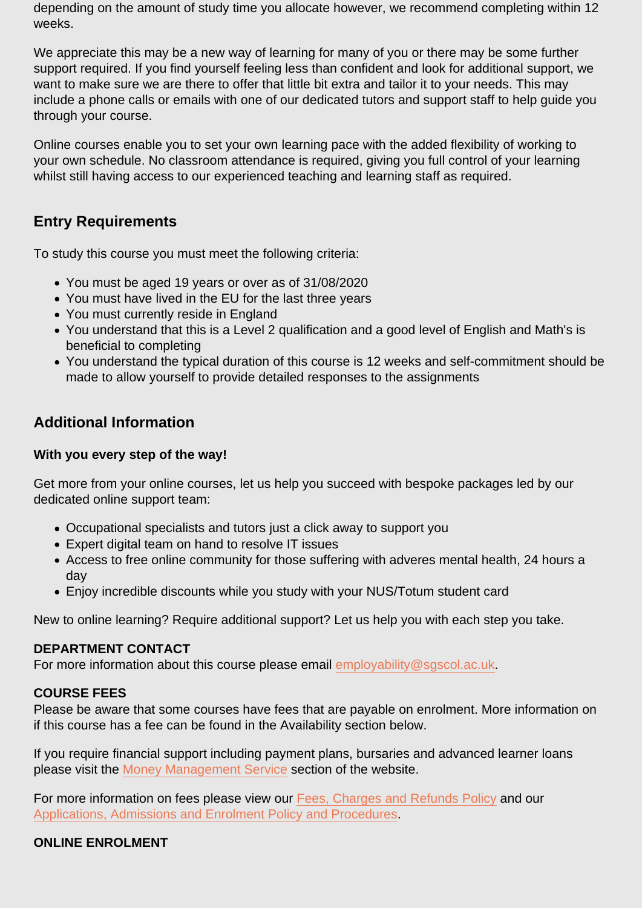depending on the amount of study time you allocate however, we recommend completing within 12 weeks.

We appreciate this may be a new way of learning for many of you or there may be some further support required. If you find yourself feeling less than confident and look for additional support, we want to make sure we are there to offer that little bit extra and tailor it to your needs. This may include a phone calls or emails with one of our dedicated tutors and support staff to help guide you through your course.

Online courses enable you to set your own learning pace with the added flexibility of working to your own schedule. No classroom attendance is required, giving you full control of your learning whilst still having access to our experienced teaching and learning staff as required.

# Entry Requirements

To study this course you must meet the following criteria:

- You must be aged 19 years or over as of 31/08/2020
- You must have lived in the EU for the last three years
- You must currently reside in England
- You understand that this is a Level 2 qualification and a good level of English and Math's is beneficial to completing
- You understand the typical duration of this course is 12 weeks and self-commitment should be made to allow yourself to provide detailed responses to the assignments

## Additional Information

With you every step of the way!

Get more from your online courses, let us help you succeed with bespoke packages led by our dedicated online support team:

- Occupational specialists and tutors just a click away to support you
- Expert digital team on hand to resolve IT issues
- Access to free online community for those suffering with adveres mental health, 24 hours a day
- Enjoy incredible discounts while you study with your NUS/Totum student card

New to online learning? Require additional support? Let us help you with each step you take.

#### DEPARTMENT CONTACT

For more information about this course please email [employability@sgscol.ac.uk.](mailto:employability@sgscol.ac.uk)

#### COURSE FEES

Please be aware that some courses have fees that are payable on enrolment. More information on if this course has a fee can be found in the Availability section below.

If you require financial support including payment plans, bursaries and advanced learner loans please visit the [Money Management Service](http://www.sgscol.ac.uk/mms) section of the website.

For more information on fees please view our [Fees, Charges and Refunds Policy](https://www.sgscol.ac.uk/policies) and our [Applications, Admissions and Enrolment Policy and Procedures.](https://www.sgscol.ac.uk/policies)

ONLINE ENROLMENT